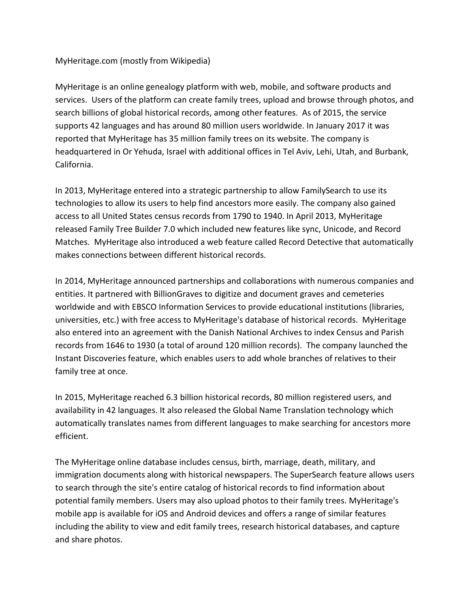# MyHeritage.com (mostly from Wikipedia)

MyHeritage is an online genealogy platform with web, mobile, and software products and services. Users of the platform can create family trees, upload and browse through photos, and search billions of global historical records, among other features. As of 2015, the service supports 42 languages and has around 80 million users worldwide. In January 2017 it was reported that MyHeritage has 35 million family trees on its website. The company is headquartered in Or Yehuda, Israel with additional offices in Tel Aviv, Lehi, Utah, and Burbank, California.

In 2013, MyHeritage entered into a strategic partnership to allow FamilySearch to use its technologies to allow its users to help find ancestors more easily. The company also gained access to all United States census records from 1790 to 1940. In April 2013, MyHeritage released Family Tree Builder 7.0 which included new features like sync, Unicode, and Record Matches. MyHeritage also introduced a web feature called Record Detective that automatically makes connections between different historical records.

In 2014, MyHeritage announced partnerships and collaborations with numerous companies and entities. It partnered with BillionGraves to digitize and document graves and cemeteries worldwide and with EBSCO Information Services to provide educational institutions (libraries, universities, etc.) with free access to MyHeritage's database of historical records. MyHeritage also entered into an agreement with the Danish National Archives to index Census and Parish records from 1646 to 1930 (a total of around 120 million records). The company launched the Instant Discoveries feature, which enables users to add whole branches of relatives to their family tree at once.

In 2015, MyHeritage reached 6.3 billion historical records, 80 million registered users, and availability in 42 languages. It also released the Global Name Translation technology which automatically translates names from different languages to make searching for ancestors more efficient.

The MyHeritage online database includes census, birth, marriage, death, military, and immigration documents along with historical newspapers. The SuperSearch feature allows users to search through the site's entire catalog of historical records to find information about potential family members. Users may also upload photos to their family trees. MyHeritage's mobile app is available for iOS and Android devices and offers a range of similar features including the ability to view and edit family trees, research historical databases, and capture and share photos.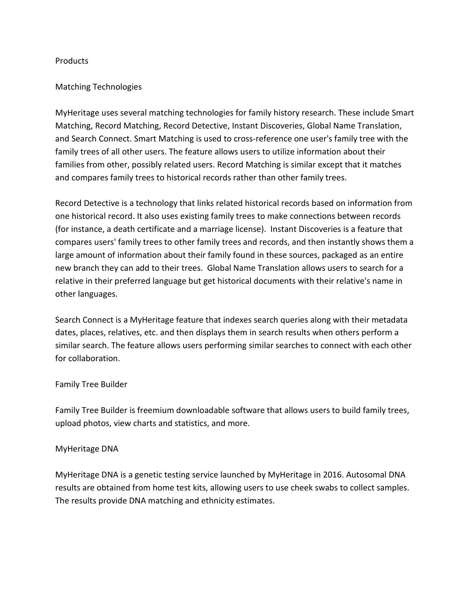## Products

## Matching Technologies

MyHeritage uses several matching technologies for family history research. These include Smart Matching, Record Matching, Record Detective, Instant Discoveries, Global Name Translation, and Search Connect. Smart Matching is used to cross-reference one user's family tree with the family trees of all other users. The feature allows users to utilize information about their families from other, possibly related users. Record Matching is similar except that it matches and compares family trees to historical records rather than other family trees.

Record Detective is a technology that links related historical records based on information from one historical record. It also uses existing family trees to make connections between records (for instance, a death certificate and a marriage license). Instant Discoveries is a feature that compares users' family trees to other family trees and records, and then instantly shows them a large amount of information about their family found in these sources, packaged as an entire new branch they can add to their trees. Global Name Translation allows users to search for a relative in their preferred language but get historical documents with their relative's name in other languages.

Search Connect is a MyHeritage feature that indexes search queries along with their metadata dates, places, relatives, etc. and then displays them in search results when others perform a similar search. The feature allows users performing similar searches to connect with each other for collaboration.

### Family Tree Builder

Family Tree Builder is freemium downloadable software that allows users to build family trees, upload photos, view charts and statistics, and more.

### MyHeritage DNA

MyHeritage DNA is a genetic testing service launched by MyHeritage in 2016. Autosomal DNA results are obtained from home test kits, allowing users to use cheek swabs to collect samples. The results provide DNA matching and ethnicity estimates.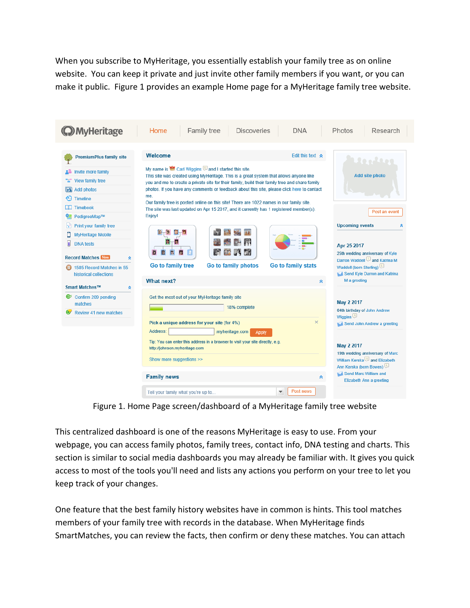When you subscribe to MyHeritage, you essentially establish your family tree as on online website. You can keep it private and just invite other family members if you want, or you can make it public. Figure 1 provides an example Home page for a MyHeritage family tree website.

| <b>O</b> MyHeritage                                                                    | Family tree<br><b>Discoveries</b><br><b>DNA</b><br>Home                                                                                                                                                                                                                                                                                                                                                                                                                                                                                              | Research<br>Photos                                                                                                                          |
|----------------------------------------------------------------------------------------|------------------------------------------------------------------------------------------------------------------------------------------------------------------------------------------------------------------------------------------------------------------------------------------------------------------------------------------------------------------------------------------------------------------------------------------------------------------------------------------------------------------------------------------------------|---------------------------------------------------------------------------------------------------------------------------------------------|
| <b>PremiumPlus family site</b>                                                         | Welcome<br>Edit this text $\land$                                                                                                                                                                                                                                                                                                                                                                                                                                                                                                                    | 2012201                                                                                                                                     |
| <b>A</b> Invite more family                                                            | My name is the Carl Wiggins and I started this site.<br>This site was created using MyHeritage. This is a great system that allows anyone like<br>you and me to create a private site for their family, build their family tree and share family<br>photos. If you have any comments or feedback about this site, please click here to contact<br>me.<br>Our family tree is posted online on this site! There are 1022 names in our family site.<br>The site was last updated on Apr 15 2017, and it currently has 1 registered member(s).<br>Enjoy! | <b>Add site photo</b>                                                                                                                       |
| <b>THE</b> View family tree                                                            |                                                                                                                                                                                                                                                                                                                                                                                                                                                                                                                                                      |                                                                                                                                             |
| <b>B</b> Add photos                                                                    |                                                                                                                                                                                                                                                                                                                                                                                                                                                                                                                                                      |                                                                                                                                             |
| <b>Timeline</b>                                                                        |                                                                                                                                                                                                                                                                                                                                                                                                                                                                                                                                                      |                                                                                                                                             |
| $\Box$ Timebook                                                                        |                                                                                                                                                                                                                                                                                                                                                                                                                                                                                                                                                      | Post an event                                                                                                                               |
| PedigreeMap™                                                                           |                                                                                                                                                                                                                                                                                                                                                                                                                                                                                                                                                      |                                                                                                                                             |
| Ħ<br>Print your family tree                                                            |                                                                                                                                                                                                                                                                                                                                                                                                                                                                                                                                                      | <b>Upcoming events</b><br>⋩                                                                                                                 |
| <b>MyHeritage Mobile</b>                                                               |                                                                                                                                                                                                                                                                                                                                                                                                                                                                                                                                                      |                                                                                                                                             |
| ы<br><b>DNA</b> tests                                                                  |                                                                                                                                                                                                                                                                                                                                                                                                                                                                                                                                                      | Apr 25 2017                                                                                                                                 |
| <b>Record Matches News</b><br>⋩<br>1585 Record Matches in 55<br>historical collections | Ы<br>Go to family stats<br>Go to family tree<br>Go to family photos<br>What next?<br>《                                                                                                                                                                                                                                                                                                                                                                                                                                                               | 25th wedding anniversary of Kyle<br>Darron Waddell and Katrina M<br>Waddell (born Sterling)<br>Send Kyle Darron and Katrina<br>M a greeting |
| Smart Matches™<br>×                                                                    |                                                                                                                                                                                                                                                                                                                                                                                                                                                                                                                                                      |                                                                                                                                             |
| C Confirm 209 pending<br>matches<br>Review 41 new matches                              | Get the most out of your MyHeritage family site<br>18% complete<br>$\times$<br>Pick a unique address for your site (for 4%)                                                                                                                                                                                                                                                                                                                                                                                                                          | May 2 2017<br>64th birthday of John Andrew<br>Wiggins<br>Send John Andrew a greeting                                                        |
|                                                                                        | Address:<br>myheritage.com<br><b>Apply</b>                                                                                                                                                                                                                                                                                                                                                                                                                                                                                                           |                                                                                                                                             |
|                                                                                        | Tip: You can enter this address in a browser to visit your site directly, e.g.<br>http://johnson.myheritage.com                                                                                                                                                                                                                                                                                                                                                                                                                                      | May 2 2017<br>19th wedding anniversary of Marc                                                                                              |
|                                                                                        | Show more suggestions >>                                                                                                                                                                                                                                                                                                                                                                                                                                                                                                                             | William Kerska <sup>3</sup> and Elizabeth<br>لَّتِّ Ann Kerska (born Bowes)<br>Send Marc William and<br>Elizabeth Ann a greeting            |
|                                                                                        | <b>Family news</b><br>≪                                                                                                                                                                                                                                                                                                                                                                                                                                                                                                                              |                                                                                                                                             |
|                                                                                        | Post news<br>$\overline{\mathbf{v}}$<br>Tell your family what you're up to                                                                                                                                                                                                                                                                                                                                                                                                                                                                           |                                                                                                                                             |

Figure 1. Home Page screen/dashboard of a MyHeritage family tree website

This centralized dashboard is one of the reasons MyHeritage is easy to use. From your webpage, you can access family photos, family trees, contact info, DNA testing and charts. This section is similar to social media dashboards you may already be familiar with. It gives you quick access to most of the tools you'll need and lists any actions you perform on your tree to let you keep track of your changes.

One feature that the best family history websites have in common is hints. This tool matches members of your family tree with records in the database. When MyHeritage finds SmartMatches, you can review the facts, then confirm or deny these matches. You can attach